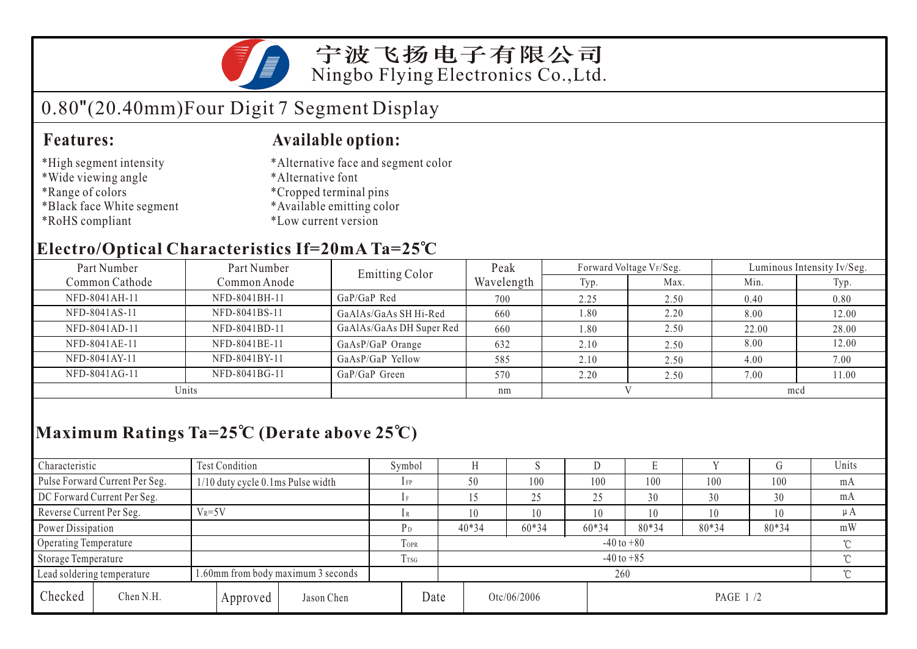

宁波飞扬电子有限公司 Ningbo Flying Electronics Co.,Ltd.

# 0.80"(20.40mm)Four Digit 7 Segment Display

### **Features: Available option:**

- \*High segment intensity
- \*Wide viewing angle
- \*Range of colors
- \*Black face White segment
- \*RoHS compliant
- \*Alternative face and segment color
- \*Alternative font
- \*Cropped terminal pins
- \*Available emitting color
- \*Low current version

### **Electro/Optical Characteristics If=20mA Ta=25 C**

| Part Number    | Part Number   | <b>Emitting Color</b>    | Peak       |      | Forward Voltage VF/Seg. | Luminous Intensity Iv/Seg. |       |  |
|----------------|---------------|--------------------------|------------|------|-------------------------|----------------------------|-------|--|
| Common Cathode | Common Anode  |                          | Wavelength | Typ. | Max.                    | Min.                       | Typ.  |  |
| NFD-8041AH-11  | NFD-8041BH-11 | $GaP/GaP$ Red            | 700        | 2.25 | 2.50                    | 0.40                       | 0.80  |  |
| NFD-8041AS-11  | NFD-8041BS-11 | GaAlAs/GaAs SH Hi-Red    | 660        | 1.80 | 2.20                    | 8.00                       | 12.00 |  |
| NFD-8041AD-11  | NFD-8041BD-11 | GaAlAs/GaAs DH Super Red | 660        | 1.80 | 2.50                    | 22.00                      | 28.00 |  |
| NFD-8041AE-11  | NFD-8041BE-11 | GaAsP/GaP Orange         | 632        | 2.10 | 2.50                    | 8.00                       | 12.00 |  |
| NFD-8041AY-11  | NFD-8041BY-11 | GaAsP/GaP Yellow         | 585        | 2.10 | 2.50                    | 4.00                       | 7.00  |  |
| NFD-8041AG-11  | NFD-8041BG-11 | GaP/GaP Green            | 570        | 2.20 | 2.50                    | 7.00                       | 11.00 |  |
| Units          |               |                          | nm         |      |                         | mcd                        |       |  |

## **Maximum Ratings Ta=25 C (Derate above 25 C)**

| Characteristic                                                   |                                | Test Condition                      |  |                  |                          | Symbol                   |  |             | - N   |         | E        |        |       | Units   |  |
|------------------------------------------------------------------|--------------------------------|-------------------------------------|--|------------------|--------------------------|--------------------------|--|-------------|-------|---------|----------|--------|-------|---------|--|
|                                                                  | Pulse Forward Current Per Seg. | $1/10$ duty cycle 0.1ms Pulse width |  |                  |                          | $1$ FP                   |  | 50          | 100   | 100     | 100      | 100    | 100   | mA      |  |
| DC Forward Current Per Seg.                                      |                                |                                     |  |                  |                          |                          |  | 25          | 25    | 30      | 30       | 30     | mA    |         |  |
| Reverse Current Per Seg.                                         |                                | $V_R = 5V$                          |  |                  |                          |                          |  | 10          | 10    | 10      | 10       | 10     | 10    | $\mu A$ |  |
| Power Dissipation                                                |                                |                                     |  |                  |                          | P <sub>D</sub>           |  | $40*34$     | 60*34 | $60*34$ | 80*34    | 80*34  | 80*34 | mW      |  |
| Operating Temperature                                            |                                |                                     |  |                  | TOPR                     | $-40$ to $+80$<br>$\sim$ |  |             |       |         |          |        |       |         |  |
| Storage Temperature                                              |                                |                                     |  | T <sub>TSG</sub> | $\sim$<br>$-40$ to $+85$ |                          |  |             |       |         |          |        |       |         |  |
| 1.60mm from body maximum 3 seconds<br>Lead soldering temperature |                                |                                     |  |                  | 260                      |                          |  |             |       |         |          | $\sim$ |       |         |  |
| Checked                                                          | Chen N.H.                      | Approved                            |  | Jason Chen       | Date                     |                          |  | Otc/06/2006 |       |         | PAGE 1/2 |        |       |         |  |